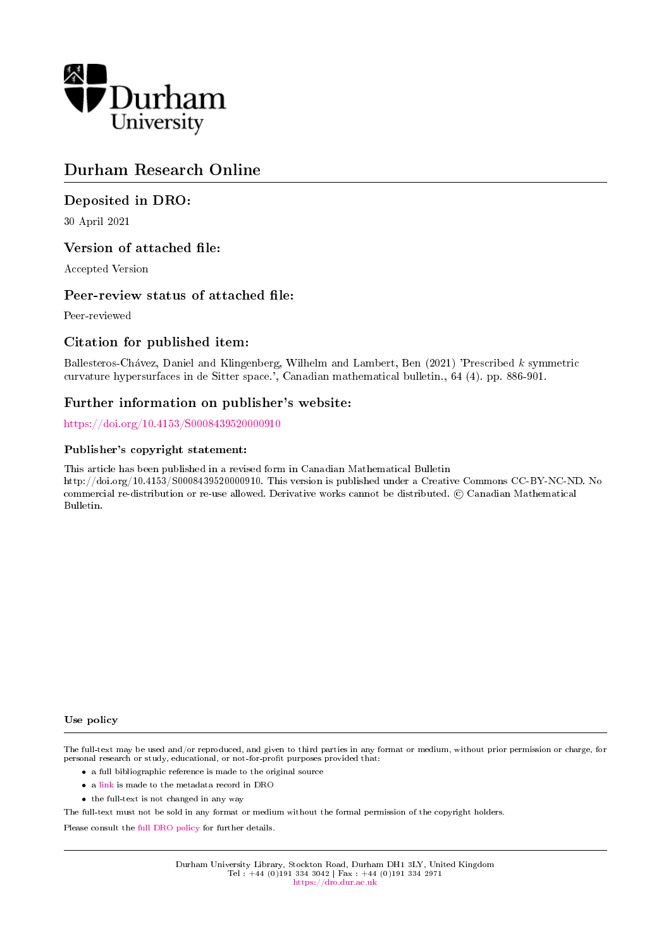

## Durham Research Online

## Deposited in DRO:

30 April 2021

#### Version of attached file:

Accepted Version

#### Peer-review status of attached file:

Peer-reviewed

## Citation for published item:

Ballesteros-Chavez, Daniel and Klingenberg, Wilhelm and Lambert, Ben (2021) 'Prescribed k symmetric curvature hypersurfaces in de Sitter space.', Canadian mathematical bulletin., 64 (4). pp. 886-901.

## Further information on publisher's website:

<https://doi.org/10.4153/S0008439520000910>

#### Publisher's copyright statement:

This article has been published in a revised form in Canadian Mathematical Bulletin http://doi.org/10.4153/S0008439520000910. This version is published under a Creative Commons CC-BY-NC-ND. No commercial re-distribution or re-use allowed. Derivative works cannot be distributed. © Canadian Mathematical Bulletin.

#### Use policy

The full-text may be used and/or reproduced, and given to third parties in any format or medium, without prior permission or charge, for personal research or study, educational, or not-for-profit purposes provided that:

- a full bibliographic reference is made to the original source
- a [link](http://dro.dur.ac.uk/32956/) is made to the metadata record in DRO
- the full-text is not changed in any way

The full-text must not be sold in any format or medium without the formal permission of the copyright holders.

Please consult the [full DRO policy](https://dro.dur.ac.uk/policies/usepolicy.pdf) for further details.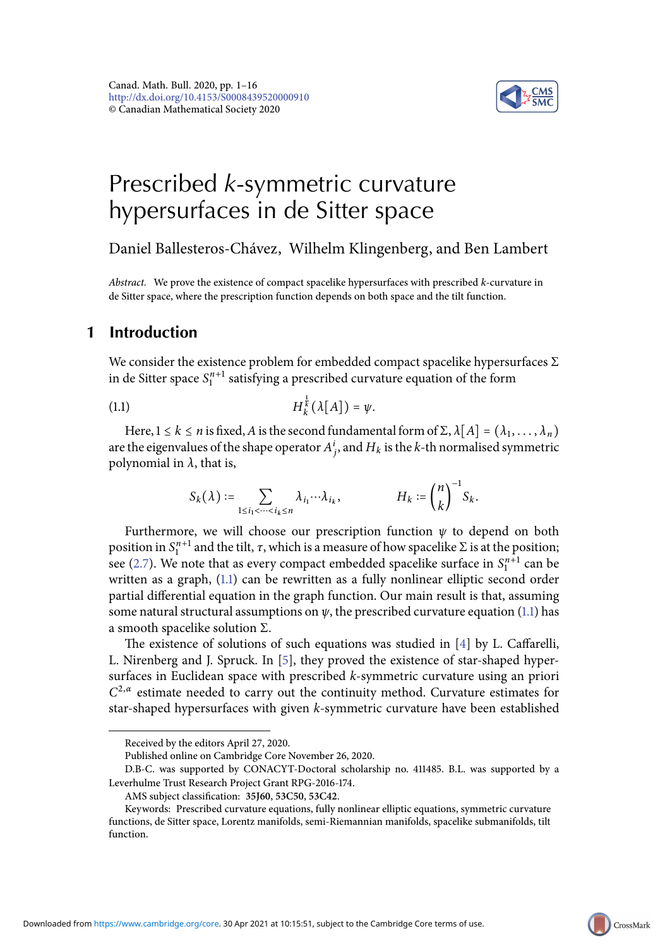<span id="page-1-1"></span>

# Prescribed *k*-symmetric curvature hypersurfaces in de Sitter space

Daniel Ballesteros-Chávez, Wilhelm Klingenberg, and Ben Lambert

Abstract. We prove the existence of compact spacelike hypersurfaces with prescribed k-curvature in de Sitter space, where the prescription function depends on both space and the tilt function.

### **1 Introduction**

We consider the existence problem for embedded compact spacelike hypersurfaces  $\Sigma$ in de Sitter space  $S_1^{n+1}$  satisfying a prescribed curvature equation of the form

$$
(1.1) \tH_k^{\frac{1}{k}}(\lambda[A]) = \psi.
$$

Here,  $1 \le k \le n$  is fixed, A is the second fundamental form of  $\Sigma$ ,  $\lambda[A] = (\lambda_1, \dots, \lambda_n)$ are the eigenvalues of the shape operator  $A^i_j$ , and  $H_k$  is the  $k$ -th normalised symmetric polynomial in  $\lambda$ , that is,

$$
S_k(\lambda) := \sum_{1 \le i_1 < \dots < i_k \le n} \lambda_{i_1} \cdots \lambda_{i_k}, \qquad H_k := \binom{n}{k}^{-1} S_k.
$$

Furthermore, we will choose our prescription function  $\psi$  to depend on both position in  $S_1^{n+1}$  and the tilt,  $\tau$ , which is a measure of how spacelike  $\Sigma$  is at the position; see [\(2.7\)](#page-5-0). We note that as every compact embedded spacelike surface in  $S_1^{n+1}$  can be written as a graph, [\(1.1\)](#page-1-1) can be rewritten as a fully nonlinear elliptic second order partial differential equation in the graph function. Our main result is that, assuming some natural structural assumptions on  $\psi$ , the prescribed curvature equation [\(1.1\)](#page-1-1) has a smooth spacelike solution Σ.

The existence of solutions of such equations was studied in  $[4]$  by L. Caffarelli, L. Nirenberg and J. Spruck. In [\[5\]](#page-15-1), they proved the existence of star-shaped hypersurfaces in Euclidean space with prescribed k-symmetric curvature using an priori  $C^{2,\alpha}$  estimate needed to carry out the continuity method. Curvature estimates for star-shaped hypersurfaces with given k-symmetric curvature have been established

Received by the editors April 27, 2020.

Published online on Cambridge Core November 26, 2020.

D.B-C. was supported by CONACYT-Doctoral scholarship no. 411485. B.L. was supported by a Leverhulme Trust Research Project Grant RPG-2016-174.

<span id="page-1-0"></span>AMS subject classification: **35J60**, **53C50**, **53C42**.

Keywords: Prescribed curvature equations, fully nonlinear elliptic equations, symmetric curvature functions, de Sitter space, Lorentz manifolds, semi-Riemannian manifolds, spacelike submanifolds, tilt function.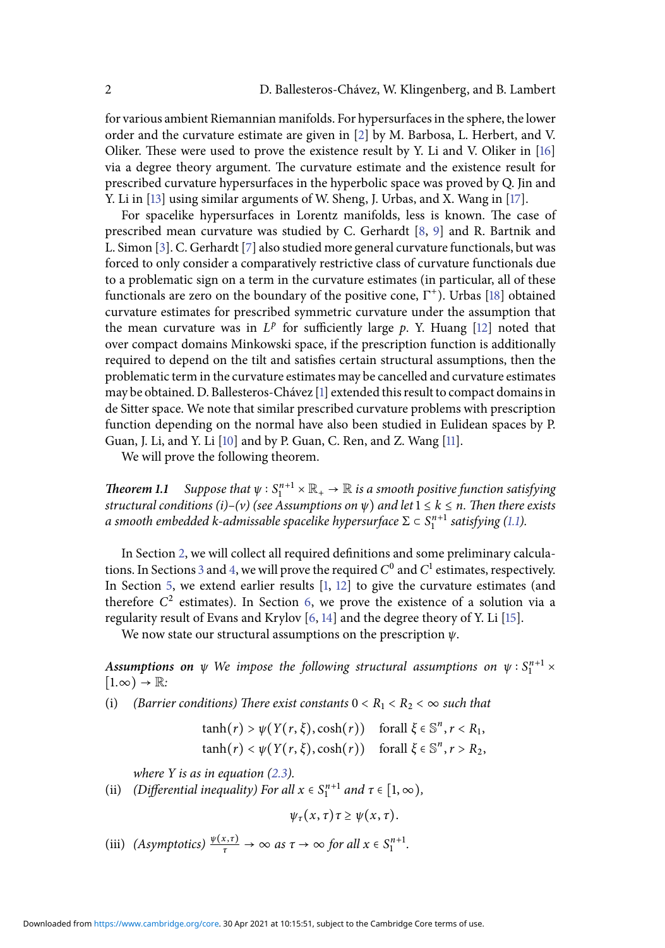for various ambient Riemannian manifolds. For hypersurfaces in the sphere, the lower order and the curvature estimate are given in [\[2\]](#page-15-2) by M. Barbosa, L. Herbert, and V. Oliker. These were used to prove the existence result by Y. Li and V. Oliker in [\[16\]](#page-16-0) via a degree theory argument. The curvature estimate and the existence result for prescribed curvature hypersurfaces in the hyperbolic space was proved by Q. Jin and Y. Li in [\[13\]](#page-15-3) using similar arguments of W. Sheng, J. Urbas, and X. Wang in [\[17\]](#page-16-1).

For spacelike hypersurfaces in Lorentz manifolds, less is known. The case of prescribed mean curvature was studied by C. Gerhardt [\[8,](#page-15-4) [9\]](#page-15-5) and R. Bartnik and L. Simon [\[3\]](#page-15-6). C. Gerhardt [\[7\]](#page-15-7) also studied more general curvature functionals, but was forced to only consider a comparatively restrictive class of curvature functionals due to a problematic sign on a term in the curvature estimates (in particular, all of these functionals are zero on the boundary of the positive cone,  $\Gamma^+$ ). Urbas [\[18\]](#page-16-2) obtained curvature estimates for prescribed symmetric curvature under the assumption that the mean curvature was in  $L^p$  for sufficiently large  $p$ . Y. Huang [\[12\]](#page-15-8) noted that over compact domains Minkowski space, if the prescription function is additionally required to depend on the tilt and satisfies certain structural assumptions, then the problematic term in the curvature estimates may be cancelled and curvature estimates may be obtained. D. Ballesteros-Chávez [\[1\]](#page-15-9) extended this result to compact domains in de Sitter space. We note that similar prescribed curvature problems with prescription function depending on the normal have also been studied in Eulidean spaces by P. Guan, J. Li, and Y. Li [\[10\]](#page-15-10) and by P. Guan, C. Ren, and Z. Wang [\[11\]](#page-15-11).

We will prove the following theorem.

<span id="page-2-0"></span>**Theorem 1.1** Suppose that  $\psi : S_1^{n+1} \times \mathbb{R}_+ \to \mathbb{R}$  is a smooth positive function satisfying structural conditions (i)–(v) (see Assumptions on  $\psi$ ) and let  $1 \leq k \leq n$ . Then there exists a smooth embedded k-admissable spacelike hypersurface  $\Sigma \subset S^{n+1}_1$  satisfying [\(1.1\)](#page-1-1).

In Section [2,](#page-3-0) we will collect all required definitions and some preliminary calcula-tions. In Sections [3](#page-7-0) and [4,](#page-9-0) we will prove the required  $C^0$  and  $C^1$  estimates, respectively. In Section [5,](#page-10-0) we extend earlier results [\[1,](#page-15-9) [12\]](#page-15-8) to give the curvature estimates (and therefore  $C^2$  estimates). In Section [6,](#page-12-0) we prove the existence of a solution via a regularity result of Evans and Krylov [\[6,](#page-15-12) [14\]](#page-15-13) and the degree theory of Y. Li [\[15\]](#page-15-14).

We now state our structural assumptions on the prescription  $\psi$ .

Assumptions on  $\psi$  We impose the following structural assumptions on  $\psi: S^{n+1}_1 \times$  $[1,\infty) \rightarrow \mathbb{R}$ :

(i) (Barrier conditions) There exist constants  $0 < R_1 < R_2 < \infty$  such that

 $tanh(r) > \psi(Y(r, \xi), cosh(r))$  forall  $\xi \in \mathbb{S}^n, r < R_1$ ,  $tanh(r) < \psi(Y(r, \xi), cosh(r))$  forall  $\xi \in \mathbb{S}^n, r > R_2$ ,

where  $Y$  is as in equation [\(2.3\)](#page-4-0).

(ii) (Differential inequality) For all  $x \in S_1^{n+1}$  and  $\tau \in [1, \infty)$ ,

 $\psi_{\tau}(x,\tau)\tau \geq \psi(x,\tau).$ 

(iii) (Asymptotics)  $\frac{\psi(x,\tau)}{\tau} \to \infty$  as  $\tau \to \infty$  for all  $x \in S_1^{n+1}$ .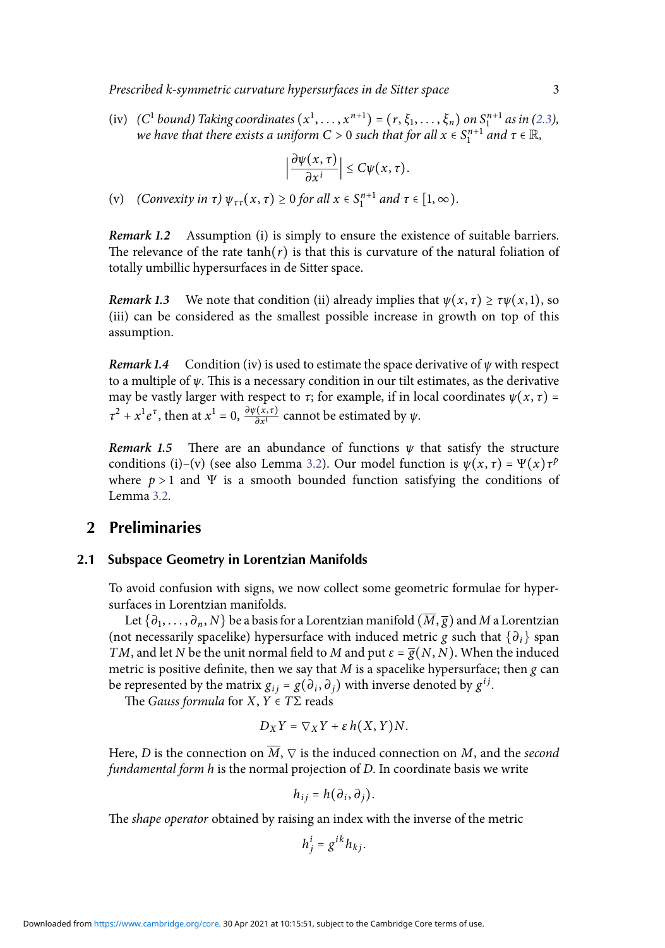Prescribed k-symmetric curvature hypersurfaces in de Sitter space 3

(iv) (C<sup>1</sup> bound) Taking coordinates  $(x^1, ..., x^{n+1}) = (r, \xi_1, ..., \xi_n)$  on  $S_1^{n+1}$  as in [\(2.3\)](#page-4-0), we have that there exists a uniform C > 0 such that for all  $x\in \mathcal{S}_1^{n+1}$  and  $\tau\in \mathbb{R},$ 

$$
\left|\frac{\partial \psi(x,\,\tau)}{\partial x^i}\right|\leq C\psi(x,\,\tau).
$$

(v) (Convexity in  $\tau$ )  $\psi_{\tau\tau}(x,\tau) \ge 0$  for all  $x \in S_1^{n+1}$  and  $\tau \in [1,\infty)$ .

**Remark 1.2** Assumption (i) is simply to ensure the existence of suitable barriers. The relevance of the rate tanh( $r$ ) is that this is curvature of the natural foliation of totally umbillic hypersurfaces in de Sitter space.

**Remark 1.3** We note that condition (ii) already implies that  $\psi(x, \tau) \ge \tau \psi(x, 1)$ , so (iii) can be considered as the smallest possible increase in growth on top of this assumption.

**Remark 1.4** Condition (iv) is used to estimate the space derivative of  $\psi$  with respect to a multiple of  $\psi$ . This is a necessary condition in our tilt estimates, as the derivative may be vastly larger with respect to  $\tau$ ; for example, if in local coordinates  $\psi(x, \tau)$  =  $\tau^2 + x^1 e^{\tau}$ , then at  $x^1 = 0$ ,  $\frac{\partial \psi(x, \tau)}{\partial x^1}$  cannot be estimated by  $\psi$ .

**Remark 1.5** There are an abundance of functions  $\psi$  that satisfy the structure conditions (i)–(v) (see also Lemma [3.2\)](#page-7-1). Our model function is  $\psi(x, \tau) = \Psi(x)\tau^p$ where  $p > 1$  and  $\Psi$  is a smooth bounded function satisfying the conditions of Lemma [3.2.](#page-7-1)

#### **2 Preliminaries**

#### <span id="page-3-0"></span>**2.1 Subspace Geometry in Lorentzian Manifolds**

To avoid confusion with signs, we now collect some geometric formulae for hypersurfaces in Lorentzian manifolds.

Let  $\{\partial_1,\ldots,\partial_n,N\}$  be a basis for a Lorentzian manifold  $(M,\overline{g})$  and  $M$  a Lorentzian (not necessarily spacelike) hypersurface with induced metric g such that  $\{\partial_i\}$  span TM, and let N be the unit normal field to M and put  $\varepsilon = \overline{g}(N, N)$ . When the induced metric is positive definite, then we say that  $M$  is a spacelike hypersurface; then  $g$  can be represented by the matrix  $g_{ij} = g(\partial_i, \partial_j)$  with inverse denoted by  $g^{ij}$ .

The Gauss formula for  $X, Y \in T\Sigma$  reads

$$
D_XY=\nabla_XY+\varepsilon h(X,Y)N.
$$

Here, D is the connection on  $\overline{M}$ ,  $\nabla$  is the induced connection on M, and the second fundamental form h is the normal projection of D. In coordinate basis we write

$$
h_{ij}=h(\partial_i,\partial_j).
$$

The shape operator obtained by raising an index with the inverse of the metric

$$
h_j^i = g^{ik} h_{kj}.
$$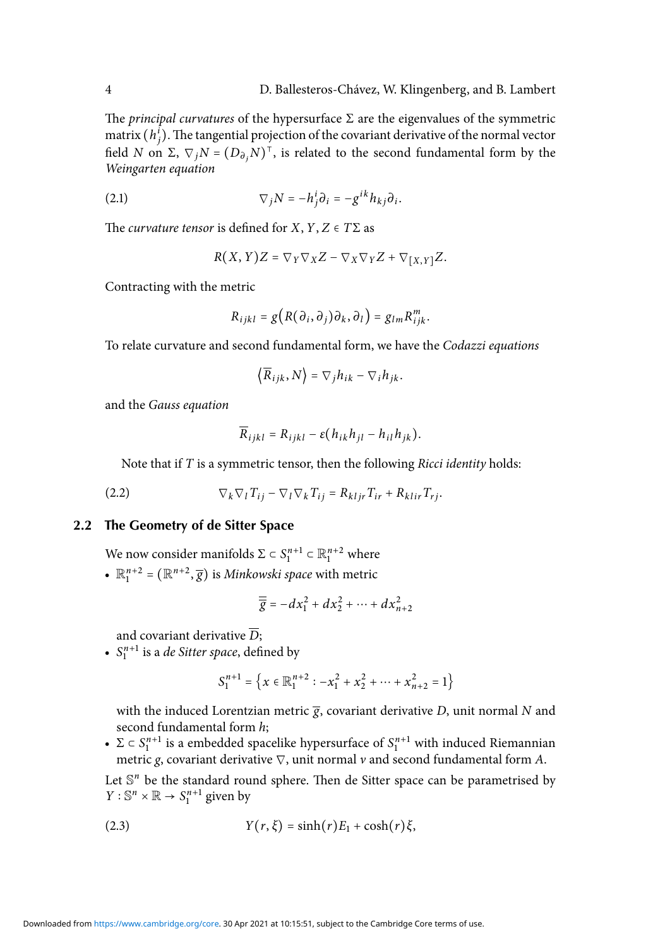The *principal curvatures* of the hypersurface  $\Sigma$  are the eigenvalues of the symmetric matrix  $(h_j^i)$ . The tangential projection of the covariant derivative of the normal vector field N on  $\Sigma$ ,  $\nabla_j N = (D_{\partial_j} N)^T$ , is related to the second fundamental form by the Weingarten equation

(2.1) 
$$
\nabla_j N = -h_j^i \partial_i = -g^{ik} h_{kj} \partial_i.
$$

The *curvature tensor* is defined for  $X, Y, Z \in T\Sigma$  as

<span id="page-4-1"></span>
$$
R(X, Y)Z = \nabla_Y \nabla_X Z - \nabla_X \nabla_Y Z + \nabla_{[X, Y]} Z.
$$

Contracting with the metric

$$
R_{ijkl} = g(R(\partial_i, \partial_j)\partial_k, \partial_l) = g_{lm}R_{ijk}^m.
$$

To relate curvature and second fundamental form, we have the Codazzi equations

<span id="page-4-2"></span>
$$
\left\langle \overline{R}_{ijk}, N \right\rangle = \nabla_j h_{ik} - \nabla_i h_{jk}.
$$

and the Gauss equation

$$
\overline{R}_{ijkl} = R_{ijkl} - \varepsilon (h_{ik}h_{jl} - h_{il}h_{jk}).
$$

Note that if  $T$  is a symmetric tensor, then the following *Ricci identity* holds:

$$
(2.2) \t\nabla_k \nabla_l T_{ij} - \nabla_l \nabla_k T_{ij} = R_{kljr} T_{ir} + R_{klir} T_{rj}.
$$

#### **2.2 The Geometry of de Sitter Space**

We now consider manifolds  $\Sigma \subset S_1^{n+1} \subset \mathbb{R}_1^{n+2}$  where

•  $\mathbb{R}^{n+2}_1 = (\mathbb{R}^{n+2}, \overline{g})$  is *Minkowski space* with metric

$$
\overline{\overline{g}} = -dx_1^2 + dx_2^2 + \dots + dx_{n+2}^2
$$

and covariant derivative  $\overline{D}$ :

•  $S_1^{n+1}$  is a *de Sitter space*, defined by

<span id="page-4-0"></span>
$$
S_1^{n+1}=\left\{x\in\mathbb{R}^{n+2}_1: -x_1^2+x_2^2+\cdots+x_{n+2}^2=1\right\}
$$

with the induced Lorentzian metric  $\bar{g}$ , covariant derivative D, unit normal N and second fundamental form h;

•  $\Sigma \subset S_1^{n+1}$  is a embedded spacelike hypersurface of  $S_1^{n+1}$  with induced Riemannian metric g, covariant derivative  $\nabla$ , unit normal v and second fundamental form A.

Let  $\mathbb{S}^n$  be the standard round sphere. Then de Sitter space can be parametrised by  $Y: \mathbb{S}^n \times \mathbb{R} \to S_1^{n+1}$  given by

(2.3) 
$$
Y(r,\xi)=\sinh(r)E_1+\cosh(r)\xi,
$$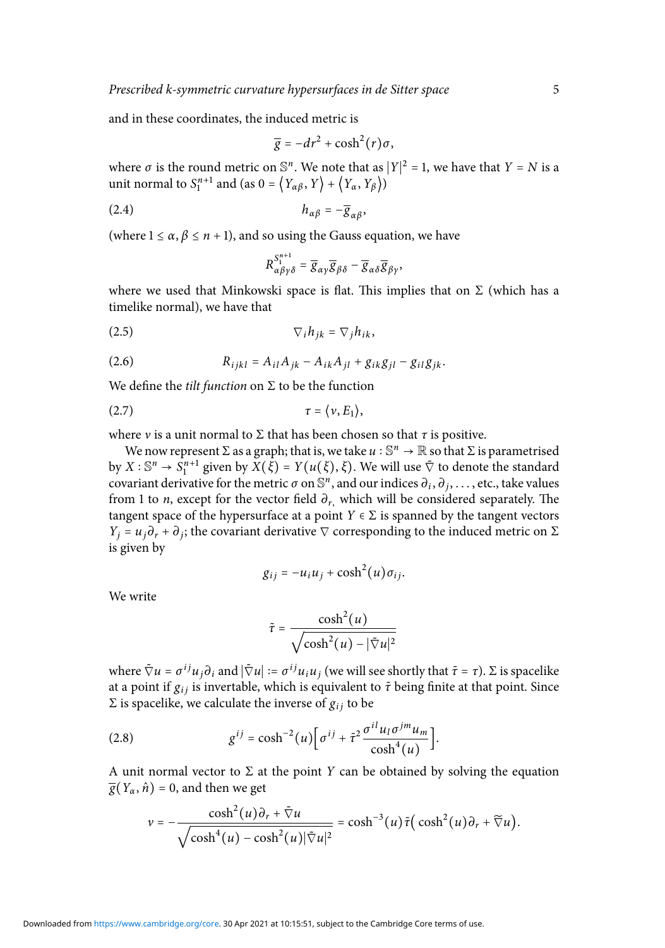and in these coordinates, the induced metric is

<span id="page-5-1"></span>
$$
\overline{g}=-dr^2+\cosh^2(r)\sigma,
$$

where  $\sigma$  is the round metric on  $\mathbb{S}^n$ . We note that as  $|Y|^2 = 1$ , we have that  $Y = N$  is a unit normal to  $S_1^{n+1}$  and (as  $0 = \langle Y_{\alpha\beta}, Y \rangle + \langle Y_{\alpha}, Y_{\beta} \rangle$ )

$$
(2.4) \t\t\t\t\t h_{\alpha\beta} = -\overline{g}_{\alpha\beta},
$$

(where  $1 \le \alpha$ ,  $\beta \le n + 1$ ), and so using the Gauss equation, we have

<span id="page-5-2"></span><span id="page-5-0"></span>
$$
R_{\alpha\beta\gamma\delta}^{S_1^{n+1}} = \overline{g}_{\alpha\gamma}\overline{g}_{\beta\delta} - \overline{g}_{\alpha\delta}\overline{g}_{\beta\gamma},
$$

where we used that Minkowski space is flat. This implies that on  $\Sigma$  (which has a timelike normal), we have that

$$
\nabla_i h_{jk} = \nabla_j h_{ik},
$$

<span id="page-5-4"></span>(2.6) 
$$
R_{ijkl} = A_{il}A_{jk} - A_{ik}A_{jl} + g_{ik}g_{jl} - g_{il}g_{jk}.
$$

We define the *tilt function* on  $\Sigma$  to be the function

$$
\tau = \langle \nu, E_1 \rangle,
$$

where *v* is a unit normal to  $\Sigma$  that has been chosen so that  $\tau$  is positive.

We now represent  $\Sigma$  as a graph; that is, we take  $u : \mathbb{S}^n \to \mathbb{R}$  so that  $\Sigma$  is parametrised by  $X : \mathbb{S}^n \to \mathbb{S}^{n+1}_1$  given by  $X(\xi) = Y(u(\xi), \xi)$ . We will use  $\tilde{\nabla}$  to denote the standard covariant derivative for the metric  $\sigma$  on  $\mathbb{S}^n$ , and our indices  $\partial_i$ ,  $\partial_j$ , . . . , etc., take values from 1 to *n*, except for the vector field  $\partial_r$ , which will be considered separately. The tangent space of the hypersurface at a point  $Y \in \Sigma$  is spanned by the tangent vectors  $Y_j = u_j \partial_r + \partial_j$ ; the covariant derivative  $\nabla$  corresponding to the induced metric on  $\Sigma$ is given by

$$
g_{ij}=-u_i u_j+\cosh^2(u)\sigma_{ij}.
$$

We write

<span id="page-5-3"></span>
$$
\tilde{\tau} = \frac{\cosh^2(u)}{\sqrt{\cosh^2(u) - |\tilde{\nabla}u|^2}}
$$

where  $\tilde{\nabla} u = \sigma^{ij} u_j \partial_i$  and  $|\tilde{\nabla} u| := \sigma^{ij} u_i u_j$  (we will see shortly that  $\tilde{\tau} = \tau$ ).  $\Sigma$  is spacelike at a point if  $g_{ij}$  is invertable, which is equivalent to  $\tilde{\tau}$  being finite at that point. Since Σ is spacelike, we calculate the inverse of  $g_{ij}$  to be

(2.8) 
$$
g^{ij} = \cosh^{-2}(u) \Big[ \sigma^{ij} + \tilde{\tau}^2 \frac{\sigma^{il} u_l \sigma^{jm} u_m}{\cosh^4(u)} \Big].
$$

A unit normal vector to  $\Sigma$  at the point Y can be obtained by solving the equation  $\overline{g}(Y_\alpha, \hat{n}) = 0$ , and then we get

$$
v = -\frac{\cosh^2(u)\partial_r + \tilde{\nabla}u}{\sqrt{\cosh^4(u) - \cosh^2(u)|\tilde{\nabla}u|^2}} = \cosh^{-3}(u)\tilde{\tau}(\cosh^2(u)\partial_r + \tilde{\nabla}u).
$$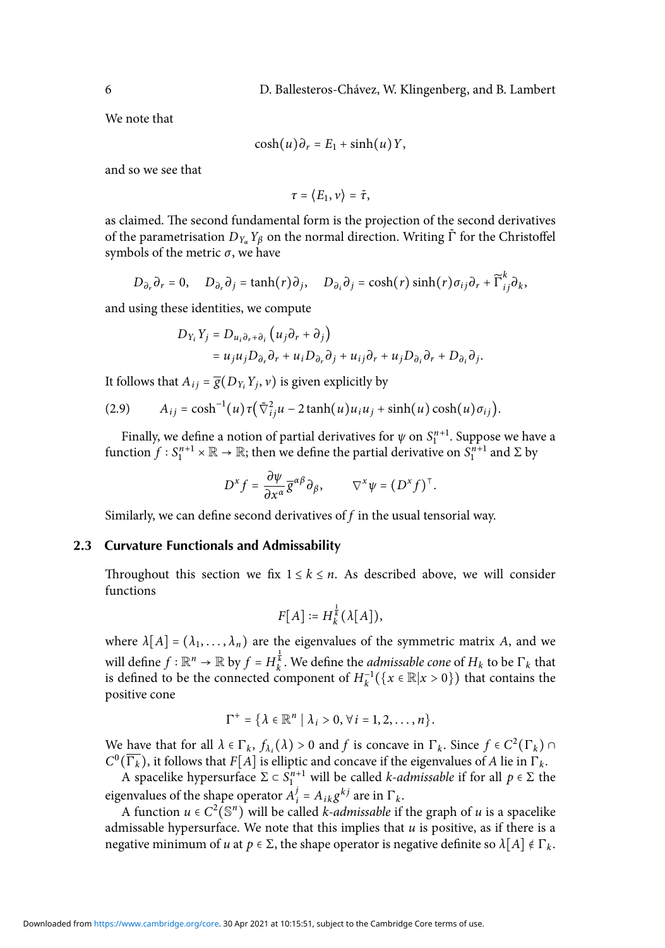We note that

$$
\cosh(u)\partial_r = E_1 + \sinh(u)Y,
$$

and so we see that

$$
\tau = \langle E_1, v \rangle = \tilde{\tau},
$$

as claimed. The second fundamental form is the projection of the second derivatives of the parametrisation  $D_{Y_\alpha}Y_\beta$  on the normal direction. Writing  $\tilde{\Gamma}$  for the Christoffel symbols of the metric  $\sigma$ , we have

$$
D_{\partial_r} \partial_r = 0, \quad D_{\partial_r} \partial_j = \tanh(r) \partial_j, \quad D_{\partial_i} \partial_j = \cosh(r) \sinh(r) \sigma_{ij} \partial_r + \widetilde{\Gamma}_{ij}^k \partial_k,
$$

and using these identities, we compute

$$
D_{Y_i} Y_j = D_{u_i \partial_r + \partial_i} (u_j \partial_r + \partial_j)
$$
  
=  $u_j u_j D_{\partial_r} \partial_r + u_i D_{\partial_r} \partial_j + u_{ij} \partial_r + u_j D_{\partial_i} \partial_r + D_{\partial_i} \partial_j$ .

It follows that  $A_{ij} = \overline{g}(D_{Y_i}Y_j, v)$  is given explicitly by

$$
(2.9) \qquad A_{ij} = \cosh^{-1}(u) \tau \left( \tilde{\nabla}_{ij}^2 u - 2 \tanh(u) u_i u_j + \sinh(u) \cosh(u) \sigma_{ij} \right).
$$

Finally, we define a notion of partial derivatives for  $\psi$  on  $S^{n+1}_{1}$ . Suppose we have a function  $f: S_1^{n+1} \times \mathbb{R} \to \mathbb{R}$ ; then we define the partial derivative on  $S_1^{n+1}$  and  $\Sigma$  by

<span id="page-6-0"></span>
$$
D^x f = \frac{\partial \psi}{\partial x^\alpha} \overline{g}^{\alpha \beta} \partial_\beta, \qquad \nabla^x \psi = (D^x f)^\top.
$$

Similarly, we can define second derivatives of  $f$  in the usual tensorial way.

#### **2.3 Curvature Functionals and Admissability**

Throughout this section we fix  $1 \leq k \leq n$ . As described above, we will consider functions

$$
F[A] \coloneqq H_k^{\frac{1}{k}}(\lambda[A]),
$$

where  $\lambda[A] = (\lambda_1, \dots, \lambda_n)$  are the eigenvalues of the symmetric matrix A, and we will define  $f : \mathbb{R}^n \to \mathbb{R}$  by  $f = H_k^{\frac{1}{k}}$ . We define the *admissable cone* of  $H_k$  to be  $\Gamma_k$  that is defined to be the connected component of  $H_k^{-1}(\lbrace x \in \mathbb{R} | x > 0 \rbrace)$  that contains the positive cone

$$
\Gamma^+ = \{ \lambda \in \mathbb{R}^n \mid \lambda_i > 0, \forall i = 1, 2, \ldots, n \}.
$$

We have that for all  $\lambda \in \Gamma_k$ ,  $f_{\lambda_i}(\lambda) > 0$  and f is concave in  $\Gamma_k$ . Since  $f \in C^2(\Gamma_k) \cap$  $C^0(\overline{\Gamma_k})$ , it follows that  $F[A]$  is elliptic and concave if the eigenvalues of A lie in  $\Gamma_k$ .

A spacelike hypersurface  $\Sigma \subset S_1^{n+1}$  will be called *k-admissable* if for all  $p \in \Sigma$  the eigenvalues of the shape operator  $A_i^j$  $j_i^j = A_{ik} g^{kj}$  are in  $\Gamma_k$ .

A function  $u \in C^2(\mathbb{S}^n)$  will be called *k*-*admissable* if the graph of *u* is a spacelike admissable hypersurface. We note that this implies that  $u$  is positive, as if there is a negative minimum of u at  $p \in \Sigma$ , the shape operator is negative definite so  $\lambda[A] \notin \Gamma_k$ .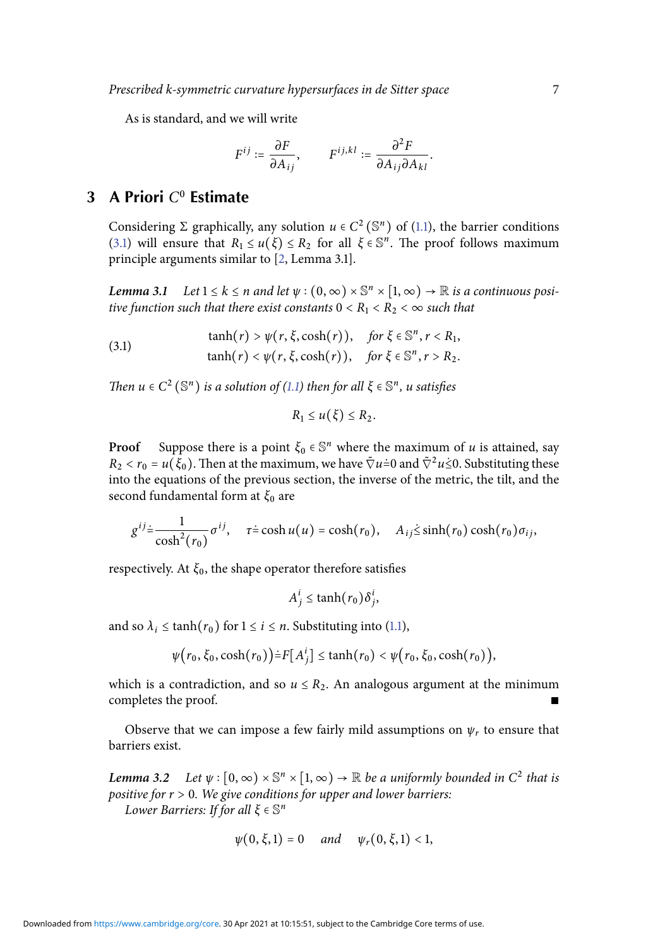As is standard, and we will write

$$
F^{ij} := \frac{\partial F}{\partial A_{ij}}, \qquad F^{ij,kl} := \frac{\partial^2 F}{\partial A_{ij} \partial A_{kl}}.
$$

## **3 A Priori** C<sup>0</sup> **Estimate**

<span id="page-7-0"></span>Considering  $\Sigma$  graphically, any solution  $u \in C^2(\mathbb{S}^n)$  of [\(1.1\)](#page-1-1), the barrier conditions [\(3.1\)](#page-7-2) will ensure that  $R_1 \le u(\xi) \le R_2$  for all  $\xi \in \mathbb{S}^n$ . The proof follows maximum principle arguments similar to [\[2,](#page-15-2) Lemma 3.1].

<span id="page-7-3"></span>**Lemma 3.1** Let  $1 \leq k \leq n$  and let  $\psi : (0, \infty) \times \mathbb{S}^n \times [1, \infty) \to \mathbb{R}$  is a continuous positive function such that there exist constants  $0 < R_1 < R_2 < \infty$  such that

(3.1) 
$$
\tanh(r) > \psi(r, \xi, \cosh(r)), \quad \text{for } \xi \in \mathbb{S}^n, r < R_1, \tanh(r) < \psi(r, \xi, \cosh(r)), \quad \text{for } \xi \in \mathbb{S}^n, r > R_2.
$$

Then  $u \in C^2(\mathbb{S}^n)$  is a solution of [\(1.1\)](#page-1-1) then for all  $\xi \in \mathbb{S}^n$ , u satisfies

<span id="page-7-2"></span>
$$
R_1\leq u(\xi)\leq R_2.
$$

**Proof** Suppose there is a point  $\xi_0 \in \mathbb{S}^n$  where the maximum of u is attained, say  $R_2 < r_0 = u(\xi_0)$ . Then at the maximum, we have  $\tilde{\nabla} u = 0$  and  $\tilde{\nabla}^2 u \le 0$ . Substituting these into the equations of the previous section, the inverse of the metric, the tilt, and the second fundamental form at  $\xi_0$  are

$$
g^{ij} \dot{=} \frac{1}{\cosh^2(r_0)} \sigma^{ij}, \quad \tau \dot{=} \cosh u(u) = \cosh(r_0), \quad A_{ij} \dot{\leq} \sinh(r_0) \cosh(r_0) \sigma_{ij},
$$

respectively. At  $\xi_0$ , the shape operator therefore satisfies

$$
A_j^i \leq \tanh(r_0)\delta_j^i,
$$

and so  $\lambda_i \leq \tanh(r_0)$  for  $1 \leq i \leq n$ . Substituting into [\(1.1\)](#page-2-0),

$$
\psi(r_0,\xi_0,\cosh(r_0))\doteq F[A_j^i] \leq \tanh(r_0) < \psi(r_0,\xi_0,\cosh(r_0)),
$$

which is a contradiction, and so  $u \le R_2$ . An analogous argument at the minimum completes the proof.

Observe that we can impose a few fairly mild assumptions on  $\psi_r$  to ensure that barriers exist.

<span id="page-7-1"></span>**Lemma 3.2** Let  $\psi : [0, \infty) \times \mathbb{S}^n \times [1, \infty) \to \mathbb{R}$  be a uniformly bounded in  $C^2$  that is positive for  $r > 0$ . We give conditions for upper and lower barriers: Lower Barriers: If for all  $\xi \in \mathbb{S}^n$ 

$$
\psi(0,\xi,1) = 0
$$
 and  $\psi_r(0,\xi,1) < 1$ ,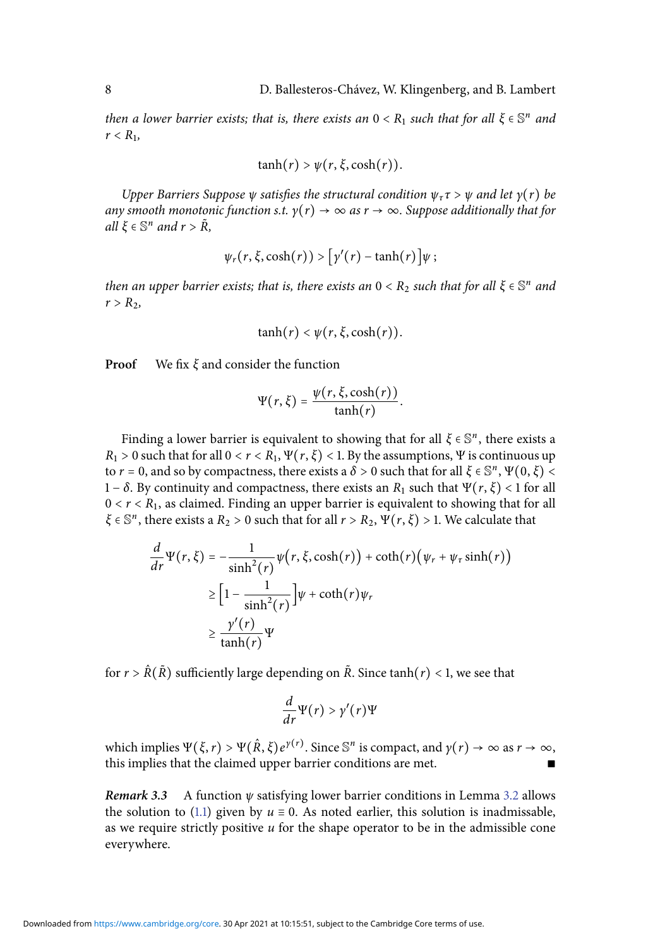then a lower barrier exists; that is, there exists an  $0 < R_1$  such that for all  $\xi \in \mathbb{S}^n$  and  $r < R_1$ ,

$$
\tanh(r) > \psi(r, \xi, \cosh(r)).
$$

Upper Barriers Suppose  $\psi$  satisfies the structural condition  $\psi_{\tau} \tau > \psi$  and let  $\gamma(r)$  be any smooth monotonic function s.t.  $\gamma(r) \to \infty$  as  $r \to \infty$ . Suppose additionally that for all  $\xi \in \mathbb{S}^n$  and  $r > \tilde{R}$ ,

$$
\psi_r(r,\xi,\cosh(r)) > [\gamma'(r) - \tanh(r)]\psi;
$$

then an upper barrier exists; that is, there exists an  $0 < R_2$  such that for all  $\xi \in \mathbb{S}^n$  and  $r > R<sub>2</sub>$ ,

$$
\tanh(r) < \psi(r,\xi,\cosh(r)).
$$

**Proof** We fix  $\xi$  and consider the function

$$
\Psi(r,\xi)=\frac{\psi(r,\xi,\cosh(r))}{\tanh(r)}.
$$

Finding a lower barrier is equivalent to showing that for all  $\xi \in \mathbb{S}^n$ , there exists a  $R_1 > 0$  such that for all  $0 < r < R_1$ ,  $\Psi(r, \xi) < 1$ . By the assumptions,  $\Psi$  is continuous up to  $r = 0$ , and so by compactness, there exists a  $\delta > 0$  such that for all  $\xi \in \mathbb{S}^n$ ,  $\Psi(0, \xi) < \infty$ 1 – δ. By continuity and compactness, there exists an  $R_1$  such that  $\Psi(r, \xi)$  < 1 for all  $0 < r < R_1$ , as claimed. Finding an upper barrier is equivalent to showing that for all  $\xi \in \mathbb{S}^n$ , there exists a  $R_2 > 0$  such that for all  $r > R_2$ ,  $\Psi(r, \xi) > 1$ . We calculate that

$$
\frac{d}{dr}\Psi(r,\xi) = -\frac{1}{\sinh^2(r)}\psi(r,\xi,\cosh(r)) + \coth(r)(\psi_r + \psi_r \sinh(r))
$$
\n
$$
\geq \left[1 - \frac{1}{\sinh^2(r)}\right]\psi + \coth(r)\psi_r
$$
\n
$$
\geq \frac{\gamma'(r)}{\tanh(r)}\Psi
$$

for  $r > \hat{R}(\tilde{R})$  sufficiently large depending on  $\tilde{R}$ . Since tanh $(r) < 1$ , we see that

$$
\frac{d}{dr}\Psi(r) > \gamma'(r)\Psi
$$

which implies  $\Psi(\xi, r) > \Psi(\hat{R}, \xi) e^{\gamma(r)}$ . Since  $\mathbb{S}^n$  is compact, and  $\gamma(r) \to \infty$  as  $r \to \infty$ , this implies that the claimed upper barrier conditions are met.

**Remark 3.3** A function ψ satisfying lower barrier conditions in Lemma [3.2](#page-7-1) allows the solution to [\(1.1\)](#page-2-0) given by  $u \equiv 0$ . As noted earlier, this solution is inadmissable, as we require strictly positive  $u$  for the shape operator to be in the admissible cone everywhere.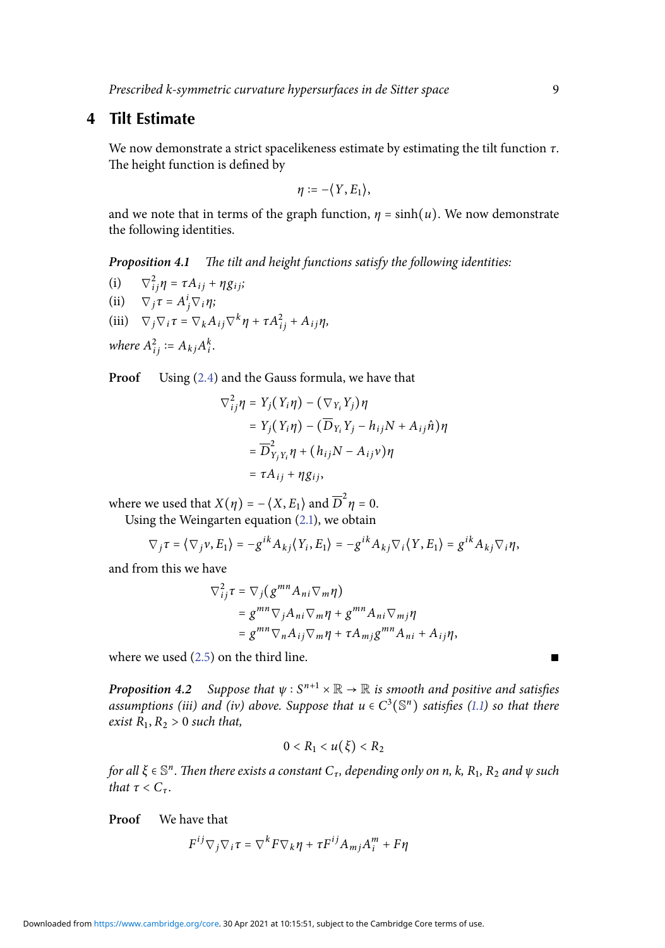#### **4 Tilt Estimate**

<span id="page-9-0"></span>We now demonstrate a strict spacelikeness estimate by estimating the tilt function  $\tau$ . The height function is defined by

$$
\eta := -\langle Y, E_1 \rangle,
$$

and we note that in terms of the graph function,  $\eta = \sinh(u)$ . We now demonstrate the following identities.

**Proposition 4.1** The tilt and height functions satisfy the following identities:

 $(i)$  $i_j \eta = \tau A_{ij} + \eta g_{ij};$ (ii)  $\nabla_j \tau = A^i_j \nabla_i \eta;$ (iii)  $\nabla_j \nabla_i \tau = \nabla_k A_{ij} \nabla^k \eta + \tau A_{ij}^2 + A_{ij} \eta,$ where  $A_{ij}^2 \coloneqq A_{kj} A_i^k$ .

**Proof** Using [\(2.4\)](#page-5-1) and the Gauss formula, we have that

$$
\nabla_{ij}^2 \eta = Y_j (Y_i \eta) - (\nabla_{Y_i} Y_j) \eta
$$
  
=  $Y_j (Y_i \eta) - (\overline{D}_{Y_i} Y_j - h_{ij} N + A_{ij} \hat{n}) \eta$   
=  $\overline{D}_{Y_j Y_i}^2 \eta + (h_{ij} N - A_{ij} \nu) \eta$   
=  $\tau A_{ij} + \eta g_{ij}$ ,

where we used that  $X(\eta) = -\langle X, E_1 \rangle$  and  $\overline{D}^2 \eta = 0$ . Using the Weingarten equation [\(2.1\)](#page-4-1), we obtain

$$
\nabla_j \tau = \langle \nabla_j v, E_1 \rangle = -g^{ik} A_{kj} \langle Y_i, E_1 \rangle = -g^{ik} A_{kj} \nabla_i \langle Y, E_1 \rangle = g^{ik} A_{kj} \nabla_i \eta,
$$

and from this we have

$$
\nabla_{ij}^2 \tau = \nabla_j (g^{mn} A_{ni} \nabla_m \eta)
$$
  
=  $g^{mn} \nabla_j A_{ni} \nabla_m \eta + g^{mn} A_{ni} \nabla_m \eta$   
=  $g^{mn} \nabla_n A_{ij} \nabla_m \eta + \tau A_{mj} g^{mn} A_{ni} + A_{ij} \eta$ ,

where we used  $(2.5)$  on the third line. ■

<span id="page-9-1"></span>**Proposition 4.2** Suppose that  $\psi: S^{n+1} \times \mathbb{R} \to \mathbb{R}$  is smooth and positive and satisfies assumptions (iii) and (iv) above. Suppose that  $u \in C^3(\mathbb{S}^n)$  satisfies [\(1.1\)](#page-1-1) so that there exist  $R_1, R_2 > 0$  such that,

$$
0 < R_1 < u(\xi) < R_2
$$

for all  $\xi \in \mathbb{S}^n$  . Then there exists a constant  $C_{\tau}$ , depending only on n, k,  $R_1$ ,  $R_2$  and  $\psi$  such that  $\tau < C_{\tau}$ .

**Proof** We have that

$$
F^{ij}\nabla_j\nabla_i\tau = \nabla^k F \nabla_k \eta + \tau F^{ij} A_{mj} A^m_i + F \eta
$$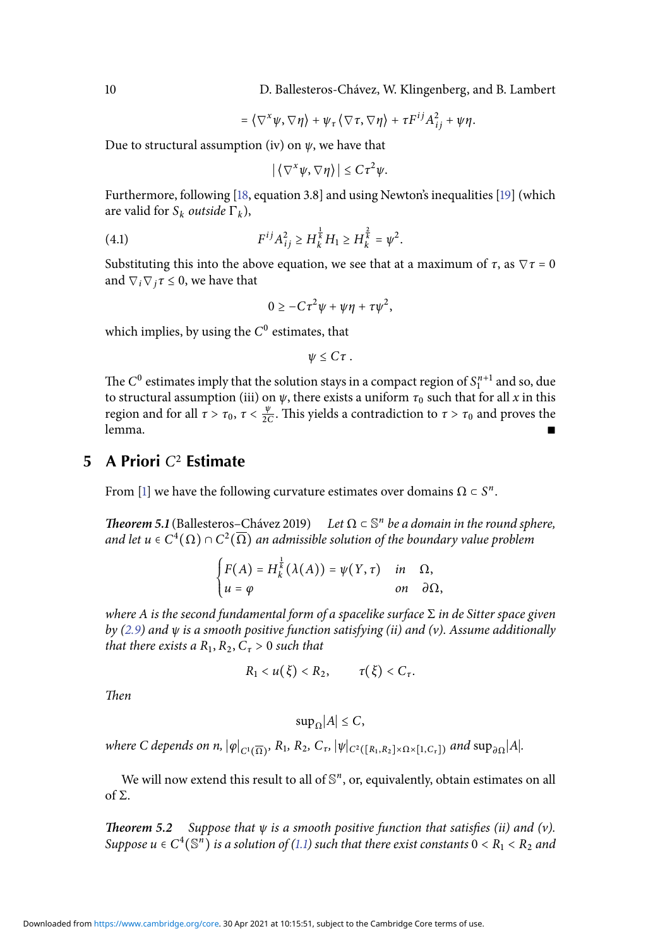10 D. Ballesteros-Chávez, W. Klingenberg, and B. Lambert

$$
= \langle \nabla^x \psi, \nabla \eta \rangle + \psi_\tau \langle \nabla \tau, \nabla \eta \rangle + \tau F^{ij} A_{ij}^2 + \psi \eta.
$$

Due to structural assumption (iv) on  $\psi$ , we have that

<span id="page-10-1"></span> $|\langle \nabla^x \psi, \nabla \eta \rangle| \leq C \tau^2 \psi.$ 

Furthermore, following [\[18,](#page-16-2) equation 3.8] and using Newton's inequalities [\[19\]](#page-16-3) (which are valid for  $S_k$  *outside*  $\Gamma_k$ ,

(4.1) 
$$
F^{ij}A_{ij}^2 \ge H_k^{\frac{1}{k}}H_1 \ge H_k^{\frac{2}{k}} = \psi^2.
$$

Substituting this into the above equation, we see that at a maximum of  $\tau$ , as  $\nabla \tau = 0$ and  $\nabla_i \nabla_j \tau \leq 0$ , we have that

$$
0\geq -C\tau^2\psi+\psi\eta+\tau\psi^2,
$$

which implies, by using the  $C^0$  estimates, that

$$
\psi \leq C \tau.
$$

The  $C^0$  estimates imply that the solution stays in a compact region of  $S_1^{n+1}$  and so, due to structural assumption (iii) on  $\psi$ , there exists a uniform  $\tau_0$  such that for all x in this region and for all  $\tau > \tau_0$ ,  $\tau < \frac{\psi}{20}$  $\frac{\psi}{2C}$ . This yields a contradiction to  $\tau > \tau_0$  and proves the lemma. ∎

#### **5 A Priori** C<sup>2</sup> **Estimate**

<span id="page-10-0"></span>From [\[1\]](#page-15-9) we have the following curvature estimates over domains  $\Omega \subset S^n$ .

**Theorem 5.1** (Ballesteros–Chávez 2019) Let  $\Omega \subset \mathbb{S}^n$  be a domain in the round sphere, and let  $u\in C^4(\Omega)\cap C^2(\overline{\Omega})$  an admissible solution of the boundary value problem

$$
\begin{cases}\nF(A) = H_k^{\frac{1}{k}}(\lambda(A)) = \psi(Y, \tau) & \text{in} \quad \Omega, \\
u = \varphi & \text{on} \quad \partial \Omega,\n\end{cases}
$$

where A is the second fundamental form of a spacelike surface  $\Sigma$  in de Sitter space given by [\(2.9\)](#page-6-0) and  $\psi$  is a smooth positive function satisfying (ii) and (v). Assume additionally that there exists a  $R_1, R_2, C_\tau > 0$  such that

$$
R_1 < u(\xi) < R_2, \qquad \tau(\xi) < C_\tau.
$$

Then

$$
\sup_{\Omega}|A| \leq C,
$$

where C depends on n,  $|\varphi|_{C^1(\overline{\Omega})}$ , R<sub>1</sub>, R<sub>2</sub>, C<sub>τ</sub>,  $|\psi|_{C^2([R_1,R_2]\times \Omega \times [1,C_{\tau}])}$  and  $\sup_{\partial \Omega} |A|$ .

We will now extend this result to all of  $\mathbb{S}^n$ , or, equivalently, obtain estimates on all of Σ.

<span id="page-10-2"></span>**Theorem 5.2** Suppose that  $\psi$  is a smooth positive function that satisfies (ii) and (v). Suppose  $u \in C^4(\mathbb{S}^n)$  is a solution of [\(1.1\)](#page-1-1) such that there exist constants  $0 < R_1 < R_2$  and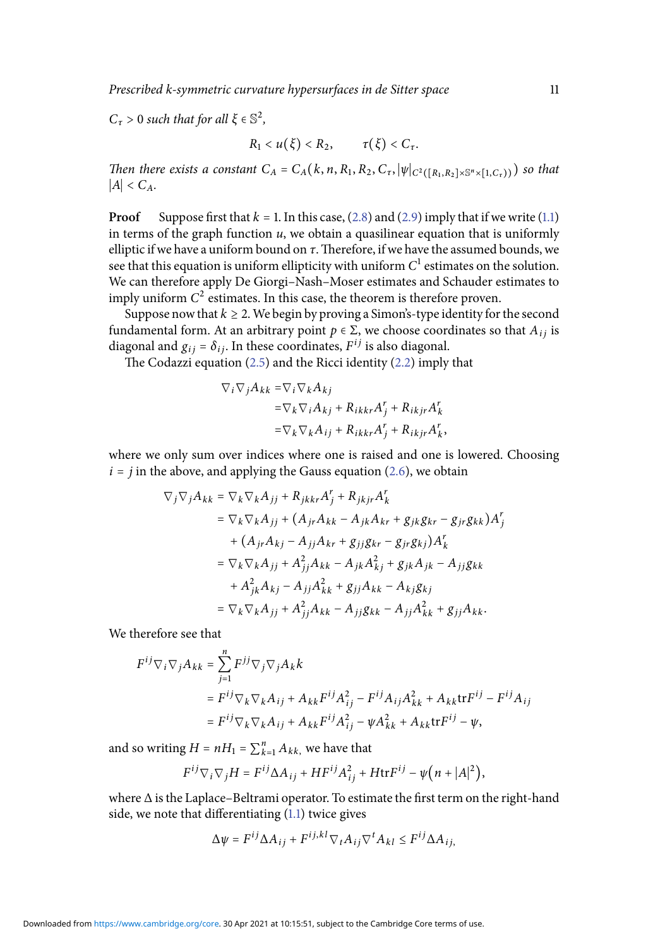Prescribed k-symmetric curvature hypersurfaces in de Sitter space 11

 $C_{\tau} > 0$  such that for all  $\xi \in \mathbb{S}^2$ ,

$$
R_1 < u(\xi) < R_2, \qquad \tau(\xi) < C_\tau.
$$

Then there exists a constant  $C_A = C_A(k, n, R_1, R_2, C_\tau, |\psi|_{C^2([R_1, R_2] \times \mathbb{S}^n \times [1, C_\tau))})$  so that  $|A| < C<sub>A</sub>$ .

**Proof** Suppose first that  $k = 1$ . In this case,  $(2.8)$  and  $(2.9)$  imply that if we write  $(1.1)$ in terms of the graph function  $u$ , we obtain a quasilinear equation that is uniformly elliptic if we have a uniform bound on  $\tau$ . Therefore, if we have the assumed bounds, we see that this equation is uniform ellipticity with uniform  $C^{\rm l}$  estimates on the solution. We can therefore apply De Giorgi–Nash–Moser estimates and Schauder estimates to imply uniform  $C^2$  estimates. In this case, the theorem is therefore proven.

Suppose now that  $k \geq 2$ . We begin by proving a Simon's-type identity for the second fundamental form. At an arbitrary point  $p \in \Sigma$ , we choose coordinates so that  $A_{ij}$  is diagonal and  $g_{ij} = \delta_{ij}$ . In these coordinates,  $F^{ij}$  is also diagonal.

The Codazzi equation  $(2.5)$  and the Ricci identity  $(2.2)$  imply that

$$
\nabla_i \nabla_j A_{kk} = \nabla_i \nabla_k A_{kj}
$$
  
=  $\nabla_k \nabla_i A_{kj} + R_{ikkr} A_j^r + R_{ikjr} A_k^r$   
=  $\nabla_k \nabla_k A_{ij} + R_{ikkr} A_j^r + R_{ikjr} A_k^r$ ,

where we only sum over indices where one is raised and one is lowered. Choosing  $i = j$  in the above, and applying the Gauss equation [\(2.6\)](#page-5-4), we obtain

$$
\nabla_j \nabla_j A_{kk} = \nabla_k \nabla_k A_{jj} + R_{jkkr} A_j^r + R_{jkjr} A_k^r
$$
  
\n
$$
= \nabla_k \nabla_k A_{jj} + (A_{jr} A_{kk} - A_{jk} A_{kr} + g_{jk} g_{kr} - g_{jr} g_{kk}) A_j^r
$$
  
\n
$$
+ (A_{jr} A_{kj} - A_{jj} A_{kr} + g_{jj} g_{kr} - g_{jr} g_{kj}) A_k^r
$$
  
\n
$$
= \nabla_k \nabla_k A_{jj} + A_{jj}^2 A_{kk} - A_{jk} A_{kj}^2 + g_{jk} A_{jk} - A_{jj} g_{kk}
$$
  
\n
$$
+ A_{jk}^2 A_{kj} - A_{jj} A_{kk}^2 + g_{jj} A_{kk} - A_{kj} g_{kj}
$$
  
\n
$$
= \nabla_k \nabla_k A_{jj} + A_{jj}^2 A_{kk} - A_{jj} g_{kk} - A_{jj} A_{kk}^2 + g_{jj} A_{kk}.
$$

We therefore see that

$$
\begin{split} F^{ij} \nabla_i \nabla_j A_{kk} &= \sum_{j=1}^n F^{jj} \nabla_j \nabla_j A_k k \\ &= F^{ij} \nabla_k \nabla_k A_{ij} + A_{kk} F^{ij} A_{ij}^2 - F^{ij} A_{ij} A_{kk}^2 + A_{kk} \text{tr} F^{ij} - F^{ij} A_{ij} \\ &= F^{ij} \nabla_k \nabla_k A_{ij} + A_{kk} F^{ij} A_{ij}^2 - \psi A_{kk}^2 + A_{kk} \text{tr} F^{ij} - \psi, \end{split}
$$

and so writing  $H = nH_1 = \sum_{k=1}^{n} A_{kk}$ , we have that

$$
F^{ij}\nabla_i\nabla_jH=F^{ij}\Delta A_{ij}+HF^{ij}A_{ij}^2+H{\rm tr}F^{ij}-\psi\bigl(n+|A|^2\bigr),
$$

where ∆ is the Laplace–Beltrami operator. To estimate the first term on the right-hand side, we note that differentiating [\(1.1\)](#page-1-1) twice gives

$$
\Delta \psi = F^{ij} \Delta A_{ij} + F^{ij,kl} \nabla_t A_{ij} \nabla^t A_{kl} \leq F^{ij} \Delta A_{ij},
$$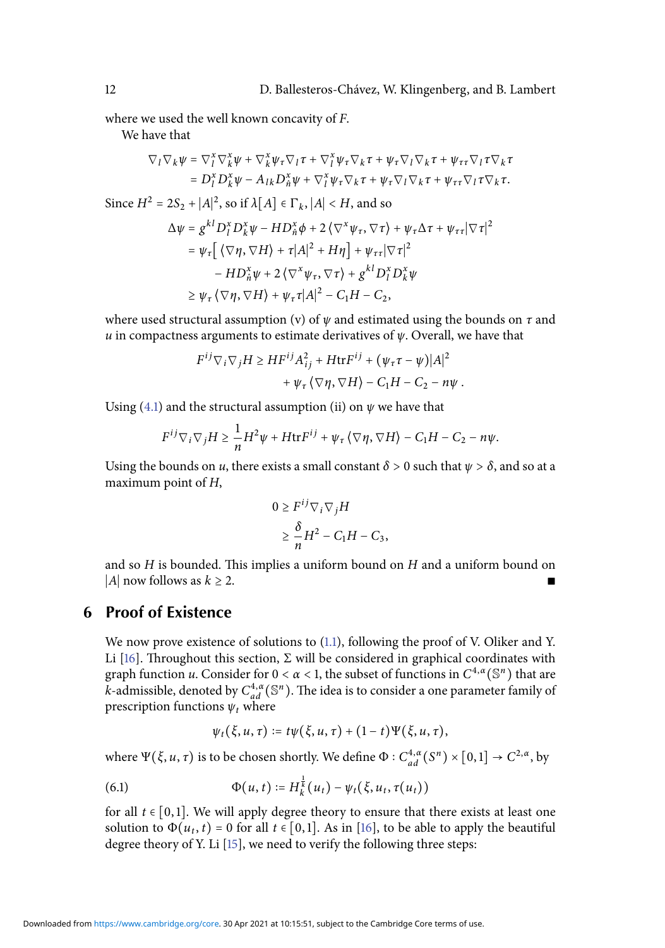where we used the well known concavity of F.

We have that

$$
\nabla_l \nabla_k \psi = \nabla_l^x \nabla_k^x \psi + \nabla_k^x \psi_\tau \nabla_l \tau + \nabla_l^x \psi_\tau \nabla_k \tau + \psi_\tau \nabla_l \nabla_k \tau + \psi_{\tau \tau} \nabla_l \tau \nabla_k \tau = D_l^x D_k^x \psi - A_{lk} D_n^x \psi + \nabla_l^x \psi_\tau \nabla_k \tau + \psi_\tau \nabla_l \nabla_k \tau + \psi_{\tau \tau} \nabla_l \tau \nabla_k \tau.
$$

Since 
$$
H^2 = 2S_2 + |A|^2
$$
, so if  $\lambda[A] \in \Gamma_k$ ,  $|A| < H$ , and so  
\n
$$
\Delta \psi = g^{kl} D_l^x D_k^x \psi - HD_h^x \phi + 2 \langle \nabla^x \psi_\tau, \nabla \tau \rangle + \psi_\tau \Delta \tau + \psi_{\tau \tau} |\nabla \tau|^2
$$
\n
$$
= \psi_\tau \Big[ \langle \nabla \eta, \nabla H \rangle + \tau |A|^2 + H\eta \Big] + \psi_{\tau \tau} |\nabla \tau|^2
$$
\n
$$
- HD_h^x \psi + 2 \langle \nabla^x \psi_\tau, \nabla \tau \rangle + g^{kl} D_l^x D_k^x \psi
$$
\n
$$
\geq \psi_\tau \langle \nabla \eta, \nabla H \rangle + \psi_\tau \tau |A|^2 - C_1 H - C_2,
$$

where used structural assumption (v) of  $\psi$  and estimated using the bounds on  $\tau$  and u in compactness arguments to estimate derivatives of  $\psi$ . Overall, we have that

$$
F^{ij} \nabla_i \nabla_j H \ge H F^{ij} A_{ij}^2 + H \text{tr} F^{ij} + (\psi_\tau \tau - \psi) |A|^2
$$
  
+  $\psi_\tau \langle \nabla \eta, \nabla H \rangle - C_1 H - C_2 - n \psi.$ 

Using [\(4.1\)](#page-10-1) and the structural assumption (ii) on  $\psi$  we have that

$$
F^{ij}\nabla_i\nabla_jH\geq \frac{1}{n}H^2\psi+H\mathrm{tr}F^{ij}+\psi_\tau\left\langle \nabla\eta,\nabla H\right\rangle-C_1H-C_2-n\psi.
$$

Using the bounds on u, there exists a small constant  $\delta > 0$  such that  $\psi > \delta$ , and so at a maximum point of H,

$$
0 \ge F^{ij} \nabla_i \nabla_j H
$$
  
\n
$$
\ge \frac{\delta}{n} H^2 - C_1 H - C_3,
$$

and so  $H$  is bounded. This implies a uniform bound on  $H$  and a uniform bound on |A| now follows as  $k \geq 2$ .

#### **6 Proof of Existence**

<span id="page-12-0"></span>We now prove existence of solutions to [\(1.1\)](#page-1-1), following the proof of V. Oliker and Y. Li [\[16\]](#page-16-0). Throughout this section,  $\Sigma$  will be considered in graphical coordinates with graph function u. Consider for  $0 < \alpha < 1$ , the subset of functions in  $C^{4,\alpha}(\mathbb{S}^n)$  that are  $\vec{k}$ -admissible, denoted by  $C_{ad}^{4,\alpha}(\mathbb{S}^n)$ . The idea is to consider a one parameter family of prescription functions  $\psi_t$  where

<span id="page-12-1"></span>
$$
\psi_t(\xi, u, \tau) \coloneqq t\psi(\xi, u, \tau) + (1-t)\Psi(\xi, u, \tau),
$$

where  $\Psi(\xi, u, \tau)$  is to be chosen shortly. We define  $\Phi: C_{ad}^{4,\alpha}(S^n) \times [0,1] \to C^{2,\alpha}$ , by

(6.1) 
$$
\Phi(u, t) := H_k^{\frac{1}{k}}(u_t) - \psi_t(\xi, u_t, \tau(u_t))
$$

for all  $t \in [0,1]$ . We will apply degree theory to ensure that there exists at least one solution to  $\Phi(u_t, t) = 0$  for all  $t \in [0, 1]$ . As in [\[16\]](#page-16-0), to be able to apply the beautiful degree theory of Y. Li [\[15\]](#page-15-14), we need to verify the following three steps: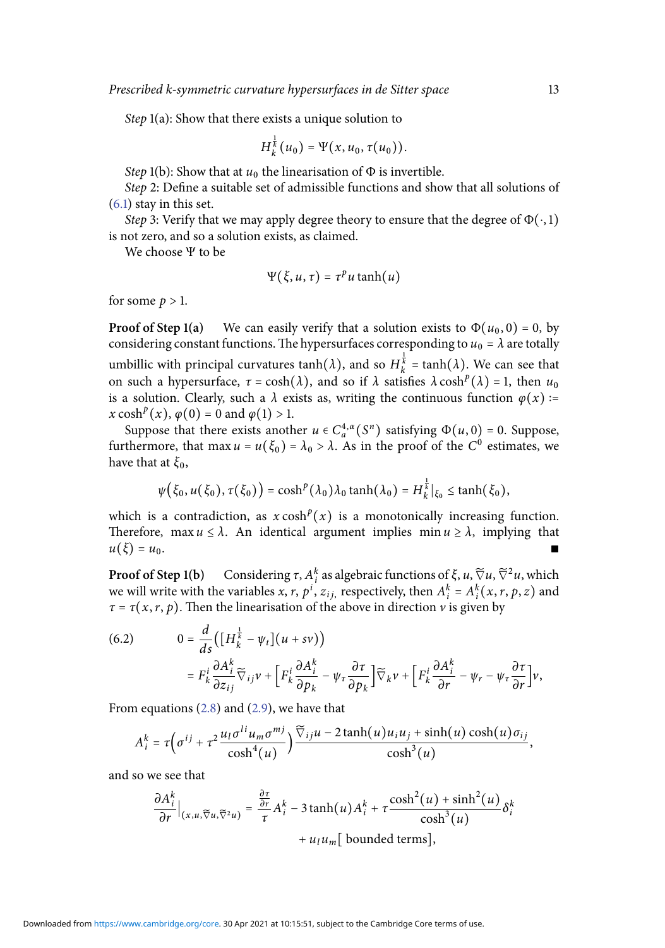Step 1(a): Show that there exists a unique solution to

$$
H_k^{\frac{1}{k}}(u_0) = \Psi(x, u_0, \tau(u_0)).
$$

Step 1(b): Show that at  $u_0$  the linearisation of  $\Phi$  is invertible.

Step 2: Define a suitable set of admissible functions and show that all solutions of [\(6.1\)](#page-12-1) stay in this set.

Step 3: Verify that we may apply degree theory to ensure that the degree of  $\Phi(\cdot, 1)$ is not zero, and so a solution exists, as claimed.

We choose Ψ to be

$$
\Psi(\xi, u, \tau) = \tau^p u \tanh(u)
$$

for some  $p > 1$ .

**Proof of Step 1(a)** We can easily verify that a solution exists to  $\Phi(u_0, 0) = 0$ , by considering constant functions. The hypersurfaces corresponding to  $u_0 = \lambda$  are totally umbillic with principal curvatures  $\tanh(\lambda)$ , and so  $H_k^{\frac{1}{k}} = \tanh(\lambda)$ . We can see that on such a hypersurface,  $\tau = \cosh(\lambda)$ , and so if  $\lambda$  satisfies  $\lambda \cosh^p(\lambda) = 1$ , then  $u_0$ is a solution. Clearly, such a  $\lambda$  exists as, writing the continuous function  $\varphi(x)$  :=  $x \cosh^p(x), \varphi(0) = 0 \text{ and } \varphi(1) > 1.$ 

Suppose that there exists another  $u \in C_a^{4,\alpha}(S^n)$  satisfying  $\Phi(u, 0) = 0$ . Suppose, furthermore, that  $\max u = u(\xi_0) = \lambda_0 > \lambda$ . As in the proof of the  $C^0$  estimates, we have that at  $\xi_0$ ,

<span id="page-13-0"></span>
$$
\psi\big(\xi_0, u(\xi_0), \tau(\xi_0)\big) = \cosh^p(\lambda_0)\lambda_0 \tanh(\lambda_0) = H_k^{\frac{1}{k}}|_{\xi_0} \le \tanh(\xi_0),
$$

which is a contradiction, as  $x \cosh^p(x)$  is a monotonically increasing function. Therefore, max  $u \leq \lambda$ . An identical argument implies min  $u \geq \lambda$ , implying that  $u(\xi) = u_0.$ 

**Proof of Step 1(b)** Considering  $\tau$ ,  $A_i^k$  as algebraic functions of  $\xi$ ,  $u$ ,  $\widetilde{\nabla}^2 u$ , which we will write with the variables x, r,  $p^i$ ,  $z_{ij}$ , respectively, then  $A_i^k = A_i^k(x, r, p, z)$  and  $\tau = \tau(x, r, p)$ . Then the linearisation of the above in direction v is given by

(6.2) 
$$
0 = \frac{d}{ds} \Big( \Big[ H_k^{\frac{1}{k}} - \psi_t \Big] (u + sv) \Big) = F_k^i \frac{\partial A_i^k}{\partial z_{ij}} \widetilde{\nabla}_{ij} v + \Big[ F_k^i \frac{\partial A_i^k}{\partial p_k} - \psi_\tau \frac{\partial \tau}{\partial p_k} \Big] \widetilde{\nabla}_k v + \Big[ F_k^i \frac{\partial A_i^k}{\partial r} - \psi_r - \psi_\tau \frac{\partial \tau}{\partial r} \Big] v,
$$

From equations [\(2.8\)](#page-5-3) and [\(2.9\)](#page-6-0), we have that

$$
A_i^k = \tau \Big( \sigma^{ij} + \tau^2 \frac{u_l \sigma^{li} u_m \sigma^{mj}}{\cosh^4(u)} \Big) \frac{\widetilde{\nabla}_{ij} u - 2 \tanh(u) u_i u_j + \sinh(u) \cosh(u) \sigma_{ij}}{\cosh^3(u)},
$$

and so we see that

$$
\frac{\partial A_i^k}{\partial r}\Big|_{(x,u,\widetilde{\nabla}u,\widetilde{\nabla}^2 u)} = \frac{\frac{\partial \tau}{\partial r}}{\tau} A_i^k - 3 \tanh(u) A_i^k + \tau \frac{\cosh^2(u) + \sinh^2(u)}{\cosh^3(u)} \delta_i^k + u_l u_m \text{ [ bounded terms]},
$$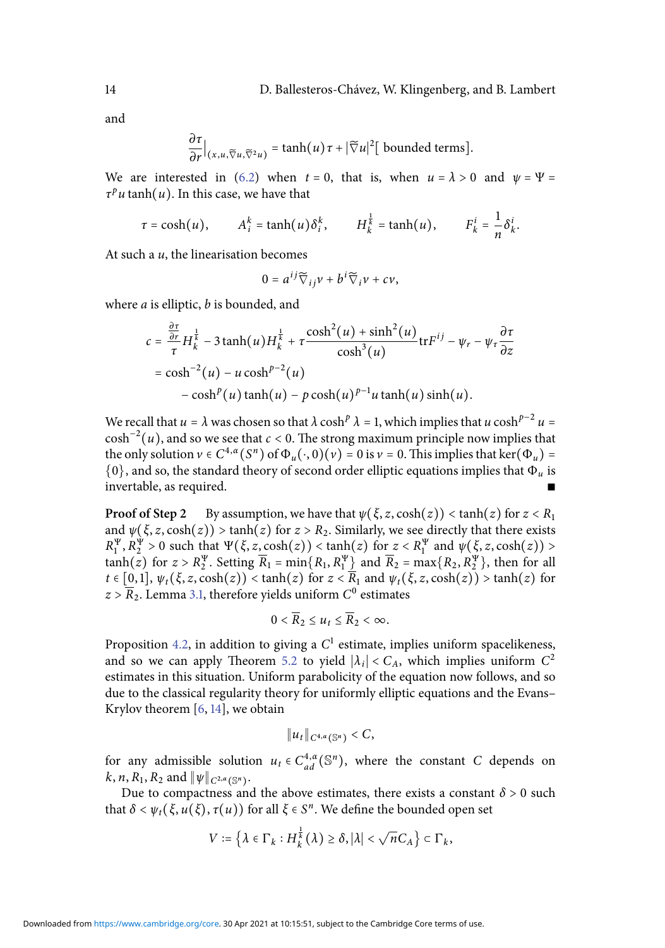and

$$
\frac{\partial \tau}{\partial r}\Big|_{(x,u,\widetilde{\nabla}u,\widetilde{\nabla}^2 u)} = \tanh(u)\tau + |\widetilde{\nabla}u|^2 \big[\text{ bounded terms}\big].
$$

We are interested in [\(6.2\)](#page-13-0) when  $t = 0$ , that is, when  $u = \lambda > 0$  and  $\psi = \Psi =$  $\tau^p u \tanh(u)$ . In this case, we have that

$$
\tau = \cosh(u), \qquad A_i^k = \tanh(u)\delta_i^k, \qquad H_k^{\frac{1}{k}} = \tanh(u), \qquad F_k^i = \frac{1}{n}\delta_k^i.
$$

At such a  $u$ , the linearisation becomes

$$
0 = a^{ij}\widetilde{\nabla}_{ij}v + b^i\widetilde{\nabla}_iv + cv,
$$

where  $a$  is elliptic,  $b$  is bounded, and

$$
c = \frac{\frac{\partial \tau}{\partial r}}{\tau} H_k^{\frac{1}{k}} - 3 \tanh(u) H_k^{\frac{1}{k}} + \tau \frac{\cosh^2(u) + \sinh^2(u)}{\cosh^3(u)} \text{tr} F^{ij} - \psi_r - \psi_\tau \frac{\partial \tau}{\partial z}
$$
  
= \cosh^{-2}(u) - u \cosh^{p-2}(u)  
- \cosh^p(u) \tanh(u) - p \cosh(u)^{p-1} u \tanh(u) \sinh(u).

We recall that  $u = \lambda$  was chosen so that  $\lambda \cosh^p \lambda = 1$ , which implies that  $u \cosh^{p-2} u =$  $\cosh^{-2}(u)$ , and so we see that  $c < 0$ . The strong maximum principle now implies that the only solution  $v \in C^{4,\alpha}(S^n)$  of  $\Phi_u(\cdot, 0)(v) = 0$  is  $v = 0$ . This implies that ker $(\Phi_u) =$  $\{0\}$ , and so, the standard theory of second order elliptic equations implies that  $\Phi_u$  is invertable, as required.

**Proof of Step 2** By assumption, we have that  $\psi(\xi, z, \cosh(z)) < \tanh(z)$  for  $z < R_1$ and  $\psi(\xi, z, \cosh(z)) > \tanh(z)$  for  $z > R_2$ . Similarly, we see directly that there exists  $R_1^{\Psi}, R_2^{\Psi} > 0$  such that  $\Psi(\xi, z, \cosh(z)) < \tanh(z)$  for  $z < R_1^{\Psi}$  and  $\psi(\xi, z, \cosh(z)) > 0$  $\tanh(z)$  for  $z > R_2^{\Psi}$ . Setting  $\overline{R}_1 = \min\{R_1, R_1^{\Psi}\}\$  and  $\overline{R}_2 = \max\{R_2, R_2^{\Psi}\}\$ , then for all  $t \in [0,1], \psi_t(\xi, z, \cosh(z)) < \tanh(z)$  for  $z < \overline{R}_1$  and  $\psi_t(\xi, z, \cosh(z)) > \tanh(z)$  for  $z$  >  $\overline{R}_2$ . Lemma [3.1,](#page-7-3) therefore yields uniform  $C^0$  estimates

$$
0<\overline{R}_2\leq u_t\leq \overline{R}_2<\infty.
$$

Proposition [4.2,](#page-9-1) in addition to giving a  $C^1$  estimate, implies uniform spacelikeness, and so we can apply Theorem [5.2](#page-10-2) to yield  $|\lambda_i| < C_A$ , which implies uniform  $C^2$ estimates in this situation. Uniform parabolicity of the equation now follows, and so due to the classical regularity theory for uniformly elliptic equations and the Evans– Krylov theorem [\[6,](#page-15-12) [14\]](#page-15-13), we obtain

$$
||u_t||_{C^{4,\alpha}(\mathbb{S}^n)} < C,
$$

for any admissible solution  $u_t \in C_{ad}^{4,\alpha}(\mathbb{S}^n)$ , where the constant C depends on  $k, n, R_1, R_2 \text{ and } \|\psi\|_{C^{2,\alpha}(\mathbb{S}^n)}.$ 

Due to compactness and the above estimates, there exists a constant  $\delta > 0$  such that  $\delta < \psi_t(\xi, u(\xi), \tau(u))$  for all  $\xi \in S^n$ . We define the bounded open set

$$
V := \left\{ \lambda \in \Gamma_k : H_k^{\frac{1}{k}}(\lambda) \ge \delta, |\lambda| < \sqrt{n} C_A \right\} \subset \Gamma_k,
$$

Downloaded from [https://www.cambridge.org/core.](https://www.cambridge.org/core) 30 Apr 2021 at 10:15:51, subject to the Cambridge Core terms of use.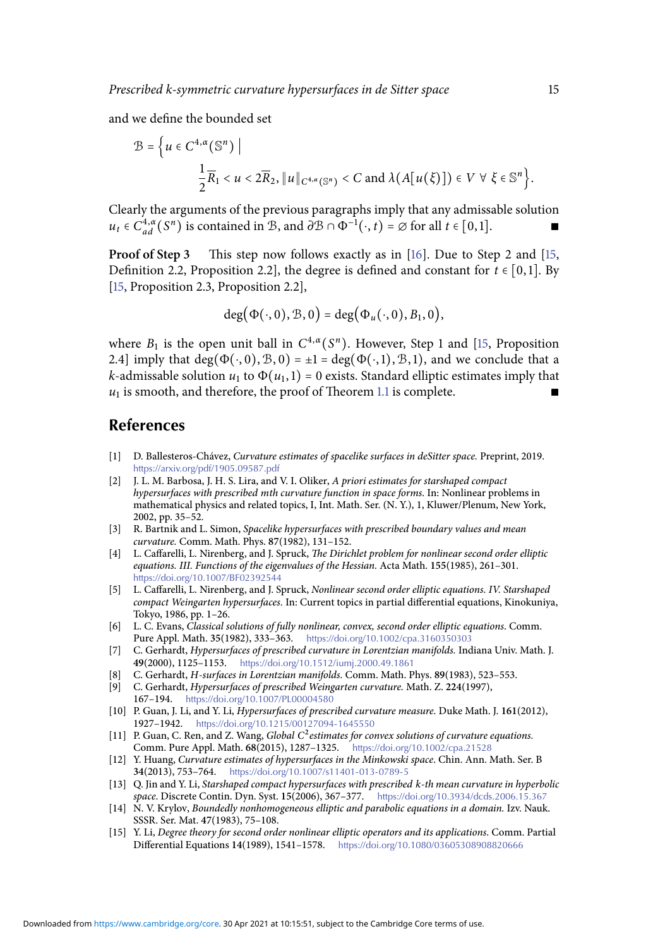and we define the bounded set

$$
\mathcal{B} = \left\{ u \in C^{4,\alpha}(\mathbb{S}^n) \mid \frac{1}{2}\overline{R}_1 < u < 2\overline{R}_2, \|u\|_{C^{4,\alpha}(\mathbb{S}^n)} < C \text{ and } \lambda(A[u(\xi)]) \in V \,\,\forall \,\,\xi \in \mathbb{S}^n \right\}.
$$

Clearly the arguments of the previous paragraphs imply that any admissable solution  $u_t \in C_{ad}^{4,\alpha}(S^n)$  is contained in B, and  $\partial \mathcal{B} \cap \Phi^{-1}(\cdot, t) = \emptyset$  for all  $t \in [0,1]$ .

**Proof of Step 3** This step now follows exactly as in [\[16\]](#page-16-0). Due to Step 2 and [\[15,](#page-15-14) Definition 2.2, Proposition 2.2], the degree is defined and constant for  $t \in [0,1]$ . By [\[15,](#page-15-14) Proposition 2.3, Proposition 2.2],

$$
\deg(\Phi(\cdot,0),\mathcal{B},0)=\deg(\Phi_u(\cdot,0),B_1,0),
$$

where  $B_1$  is the open unit ball in  $C^{4,\alpha}(S^n)$ . However, Step 1 and [\[15,](#page-15-14) Proposition 2.4] imply that deg( $\Phi(\cdot, 0), \mathcal{B}, 0$ ) =  $\pm 1$  = deg( $\Phi(\cdot, 1), \mathcal{B}, 1$ ), and we conclude that a *k*-admissable solution  $u_1$  to  $\Phi(u_1, 1) = 0$  exists. Standard elliptic estimates imply that  $u_1$  is smooth, and therefore, the proof of Theorem [1.1](#page-2-0) is complete. ■

#### **References**

- <span id="page-15-9"></span>[1] D. Ballesteros-Chávez, Curvature estimates of spacelike surfaces in deSitter space. Preprint, 2019. <https://arxiv.org/pdf/1905.09587.pdf>
- <span id="page-15-2"></span>[2] J. L. M. Barbosa, J. H. S. Lira, and V. I. Oliker, A priori estimates for starshaped compact hypersurfaces with prescribed mth curvature function in space forms. In: Nonlinear problems in mathematical physics and related topics, I, Int. Math. Ser. (N. Y.), 1, Kluwer/Plenum, New York, 2002, pp. 35–52.
- <span id="page-15-6"></span>[3] R. Bartnik and L. Simon, Spacelike hypersurfaces with prescribed boundary values and mean curvature. Comm. Math. Phys. **87**(1982), 131–152.
- <span id="page-15-0"></span>[4] L. Caffarelli, L. Nirenberg, and J. Spruck, The Dirichlet problem for nonlinear second order elliptic equations. III. Functions of the eigenvalues of the Hessian. Acta Math. **155**(1985), 261–301. <https://doi.org/10.1007/BF02392544>
- <span id="page-15-1"></span>[5] L. Caffarelli, L. Nirenberg, and J. Spruck, Nonlinear second order elliptic equations. IV. Starshaped compact Weingarten hypersurfaces. In: Current topics in partial differential equations, Kinokuniya, Tokyo, 1986, pp. 1–26.
- <span id="page-15-12"></span>[6] L. C. Evans, Classical solutions of fully nonlinear, convex, second order elliptic equations. Comm. Pure Appl. Math. **35**(1982), 333–363. <https://doi.org/10.1002/cpa.3160350303>
- <span id="page-15-7"></span>[7] C. Gerhardt, Hypersurfaces of prescribed curvature in Lorentzian manifolds. Indiana Univ. Math. J. **49**(2000), 1125–1153. <https://doi.org/10.1512/iumj.2000.49.1861>
- <span id="page-15-4"></span>[8] C. Gerhardt, H-surfaces in Lorentzian manifolds. Comm. Math. Phys. **89**(1983), 523–553.
- <span id="page-15-5"></span>[9] C. Gerhardt, Hypersurfaces of prescribed Weingarten curvature. Math. Z. **224**(1997), 167–194. <https://doi.org/10.1007/PL00004580>
- <span id="page-15-10"></span>[10] P. Guan, J. Li, and Y. Li, Hypersurfaces of prescribed curvature measure. Duke Math. J. **161**(2012), 1927–1942. <https://doi.org/10.1215/00127094-1645550>
- <span id="page-15-11"></span>[11] P. Guan, C. Ren, and Z. Wang, Global C<sup>2</sup> estimates for convex solutions of curvature equations. Comm. Pure Appl. Math. **68**(2015), 1287–1325. <https://doi.org/10.1002/cpa.21528>
- <span id="page-15-8"></span>[12] Y. Huang, Curvature estimates of hypersurfaces in the Minkowski space. Chin. Ann. Math. Ser. B **34**(2013), 753–764. <https://doi.org/10.1007/s11401-013-0789-5>
- <span id="page-15-3"></span>[13] Q. Jin and Y. Li, Starshaped compact hypersurfaces with prescribed k-th mean curvature in hyperbolic space. Discrete Contin. Dyn. Syst. **15**(2006), 367–377. <https://doi.org/10.3934/dcds.2006.15.367>
- <span id="page-15-13"></span>[14] N. V. Krylov, Boundedly nonhomogeneous elliptic and parabolic equations in a domain. Izv. Nauk. SSSR. Ser. Mat. **47**(1983), 75–108.
- <span id="page-15-14"></span>[15] Y. Li, Degree theory for second order nonlinear elliptic operators and its applications. Comm. Partial Differential Equations **14**(1989), 1541–1578. <https://doi.org/10.1080/03605308908820666>